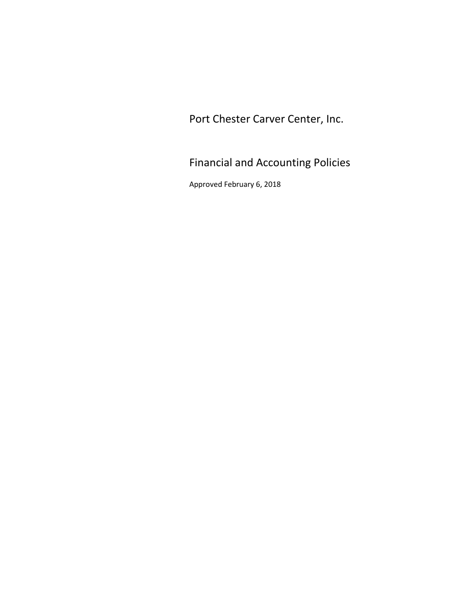Port Chester Carver Center, Inc.

Financial and Accounting Policies

Approved February 6, 2018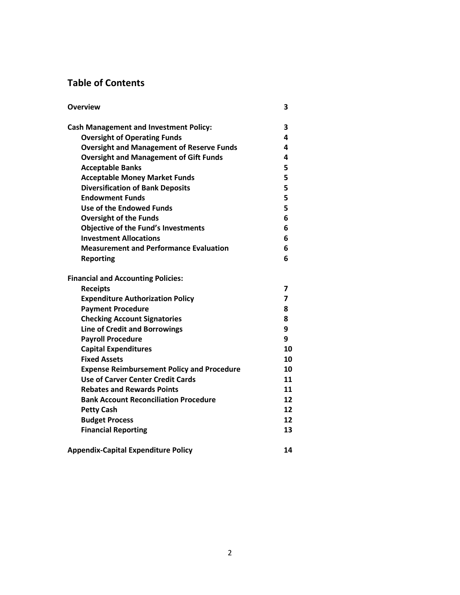# **Table of Contents**

| <b>Overview</b>                                   | 3  |
|---------------------------------------------------|----|
| <b>Cash Management and Investment Policy:</b>     | 3  |
| <b>Oversight of Operating Funds</b>               | 4  |
| <b>Oversight and Management of Reserve Funds</b>  | 4  |
| <b>Oversight and Management of Gift Funds</b>     | 4  |
| <b>Acceptable Banks</b>                           | 5  |
| <b>Acceptable Money Market Funds</b>              | 5  |
| <b>Diversification of Bank Deposits</b>           | 5  |
| <b>Endowment Funds</b>                            | 5  |
| Use of the Endowed Funds                          | 5  |
| <b>Oversight of the Funds</b>                     | 6  |
| <b>Objective of the Fund's Investments</b>        | 6  |
| <b>Investment Allocations</b>                     | 6  |
| <b>Measurement and Performance Evaluation</b>     | 6  |
| <b>Reporting</b>                                  | 6  |
| <b>Financial and Accounting Policies:</b>         |    |
| <b>Receipts</b>                                   | 7  |
| <b>Expenditure Authorization Policy</b>           | 7  |
| <b>Payment Procedure</b>                          | 8  |
| <b>Checking Account Signatories</b>               | 8  |
| <b>Line of Credit and Borrowings</b>              | 9  |
| <b>Payroll Procedure</b>                          | 9  |
| <b>Capital Expenditures</b>                       | 10 |
| <b>Fixed Assets</b>                               | 10 |
| <b>Expense Reimbursement Policy and Procedure</b> | 10 |
| <b>Use of Carver Center Credit Cards</b>          | 11 |
| <b>Rebates and Rewards Points</b>                 | 11 |
| <b>Bank Account Reconciliation Procedure</b>      | 12 |
| <b>Petty Cash</b>                                 | 12 |
| <b>Budget Process</b>                             | 12 |
| <b>Financial Reporting</b>                        | 13 |
| <b>Appendix-Capital Expenditure Policy</b>        | 14 |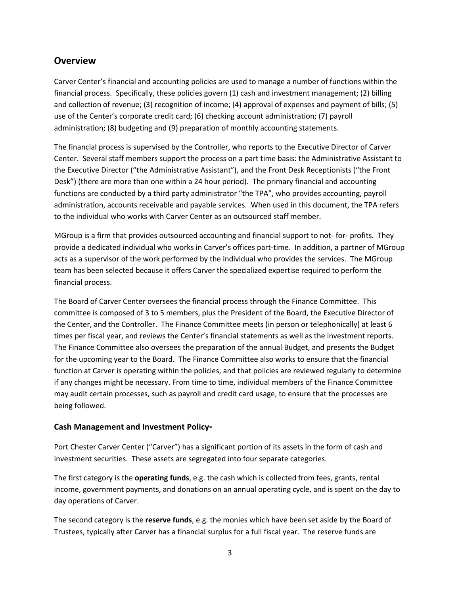## **Overview**

Carver Center's financial and accounting policies are used to manage a number of functions within the financial process. Specifically, these policies govern (1) cash and investment management; (2) billing and collection of revenue; (3) recognition of income; (4) approval of expenses and payment of bills; (5) use of the Center's corporate credit card; (6) checking account administration; (7) payroll administration; (8) budgeting and (9) preparation of monthly accounting statements.

The financial process is supervised by the Controller, who reports to the Executive Director of Carver Center. Several staff members support the process on a part time basis: the Administrative Assistant to the Executive Director ("the Administrative Assistant"), and the Front Desk Receptionists ("the Front Desk") (there are more than one within a 24 hour period). The primary financial and accounting functions are conducted by a third party administrator "the TPA", who provides accounting, payroll administration, accounts receivable and payable services. When used in this document, the TPA refers to the individual who works with Carver Center as an outsourced staff member.

MGroup is a firm that provides outsourced accounting and financial support to not- for- profits. They provide a dedicated individual who works in Carver's offices part-time. In addition, a partner of MGroup acts as a supervisor of the work performed by the individual who provides the services. The MGroup team has been selected because it offers Carver the specialized expertise required to perform the financial process.

The Board of Carver Center oversees the financial process through the Finance Committee. This committee is composed of 3 to 5 members, plus the President of the Board, the Executive Director of the Center, and the Controller. The Finance Committee meets (in person or telephonically) at least 6 times per fiscal year, and reviews the Center's financial statements as well as the investment reports. The Finance Committee also oversees the preparation of the annual Budget, and presents the Budget for the upcoming year to the Board. The Finance Committee also works to ensure that the financial function at Carver is operating within the policies, and that policies are reviewed regularly to determine if any changes might be necessary. From time to time, individual members of the Finance Committee may audit certain processes, such as payroll and credit card usage, to ensure that the processes are being followed.

## **Cash Management and Investment Policy-**

Port Chester Carver Center ("Carver") has a significant portion of its assets in the form of cash and investment securities. These assets are segregated into four separate categories.

The first category is the **operating funds**, e.g. the cash which is collected from fees, grants, rental income, government payments, and donations on an annual operating cycle, and is spent on the day to day operations of Carver.

The second category is the **reserve funds**, e.g. the monies which have been set aside by the Board of Trustees, typically after Carver has a financial surplus for a full fiscal year. The reserve funds are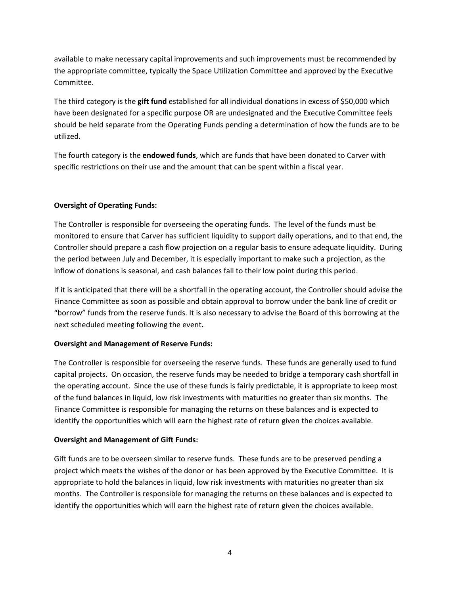available to make necessary capital improvements and such improvements must be recommended by the appropriate committee, typically the Space Utilization Committee and approved by the Executive Committee.

The third category is the **gift fund** established for all individual donations in excess of \$50,000 which have been designated for a specific purpose OR are undesignated and the Executive Committee feels should be held separate from the Operating Funds pending a determination of how the funds are to be utilized.

The fourth category is the **endowed funds**, which are funds that have been donated to Carver with specific restrictions on their use and the amount that can be spent within a fiscal year.

## **Oversight of Operating Funds:**

The Controller is responsible for overseeing the operating funds. The level of the funds must be monitored to ensure that Carver has sufficient liquidity to support daily operations, and to that end, the Controller should prepare a cash flow projection on a regular basis to ensure adequate liquidity. During the period between July and December, it is especially important to make such a projection, as the inflow of donations is seasonal, and cash balances fall to their low point during this period.

If it is anticipated that there will be a shortfall in the operating account, the Controller should advise the Finance Committee as soon as possible and obtain approval to borrow under the bank line of credit or "borrow" funds from the reserve funds. It is also necessary to advise the Board of this borrowing at the next scheduled meeting following the event**.**

#### **Oversight and Management of Reserve Funds:**

The Controller is responsible for overseeing the reserve funds. These funds are generally used to fund capital projects. On occasion, the reserve funds may be needed to bridge a temporary cash shortfall in the operating account. Since the use of these funds is fairly predictable, it is appropriate to keep most of the fund balances in liquid, low risk investments with maturities no greater than six months. The Finance Committee is responsible for managing the returns on these balances and is expected to identify the opportunities which will earn the highest rate of return given the choices available.

#### **Oversight and Management of Gift Funds:**

Gift funds are to be overseen similar to reserve funds. These funds are to be preserved pending a project which meets the wishes of the donor or has been approved by the Executive Committee. It is appropriate to hold the balances in liquid, low risk investments with maturities no greater than six months. The Controller is responsible for managing the returns on these balances and is expected to identify the opportunities which will earn the highest rate of return given the choices available.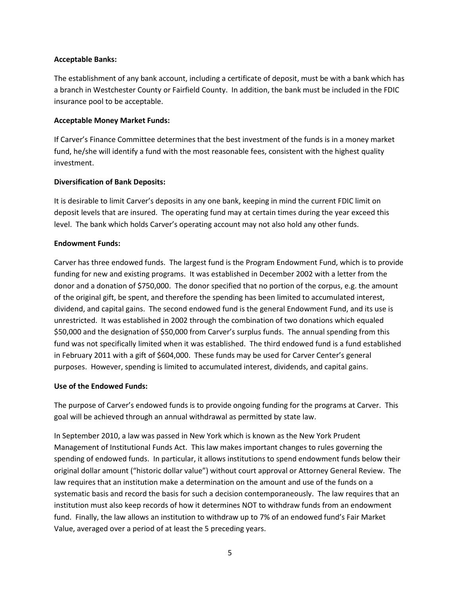#### **Acceptable Banks:**

The establishment of any bank account, including a certificate of deposit, must be with a bank which has a branch in Westchester County or Fairfield County. In addition, the bank must be included in the FDIC insurance pool to be acceptable.

### **Acceptable Money Market Funds:**

If Carver's Finance Committee determines that the best investment of the funds is in a money market fund, he/she will identify a fund with the most reasonable fees, consistent with the highest quality investment.

## **Diversification of Bank Deposits:**

It is desirable to limit Carver's deposits in any one bank, keeping in mind the current FDIC limit on deposit levels that are insured. The operating fund may at certain times during the year exceed this level. The bank which holds Carver's operating account may not also hold any other funds.

### **Endowment Funds:**

Carver has three endowed funds. The largest fund is the Program Endowment Fund, which is to provide funding for new and existing programs. It was established in December 2002 with a letter from the donor and a donation of \$750,000. The donor specified that no portion of the corpus, e.g. the amount of the original gift, be spent, and therefore the spending has been limited to accumulated interest, dividend, and capital gains. The second endowed fund is the general Endowment Fund, and its use is unrestricted. It was established in 2002 through the combination of two donations which equaled \$50,000 and the designation of \$50,000 from Carver's surplus funds. The annual spending from this fund was not specifically limited when it was established. The third endowed fund is a fund established in February 2011 with a gift of \$604,000. These funds may be used for Carver Center's general purposes. However, spending is limited to accumulated interest, dividends, and capital gains.

### **Use of the Endowed Funds:**

The purpose of Carver's endowed funds is to provide ongoing funding for the programs at Carver. This goal will be achieved through an annual withdrawal as permitted by state law.

In September 2010, a law was passed in New York which is known as the New York Prudent Management of Institutional Funds Act. This law makes important changes to rules governing the spending of endowed funds. In particular, it allows institutions to spend endowment funds below their original dollar amount ("historic dollar value") without court approval or Attorney General Review. The law requires that an institution make a determination on the amount and use of the funds on a systematic basis and record the basis for such a decision contemporaneously. The law requires that an institution must also keep records of how it determines NOT to withdraw funds from an endowment fund. Finally, the law allows an institution to withdraw up to 7% of an endowed fund's Fair Market Value, averaged over a period of at least the 5 preceding years.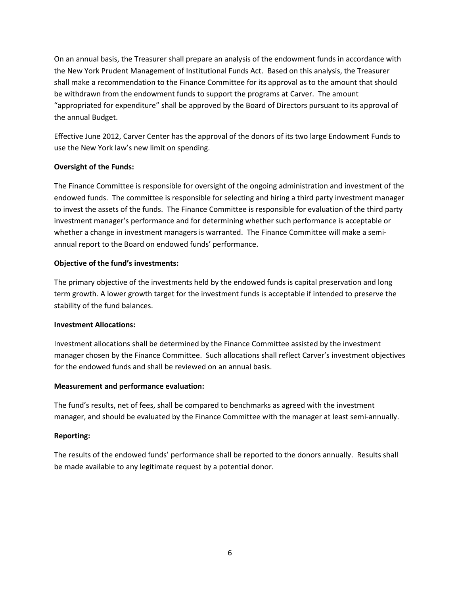On an annual basis, the Treasurer shall prepare an analysis of the endowment funds in accordance with the New York Prudent Management of Institutional Funds Act. Based on this analysis, the Treasurer shall make a recommendation to the Finance Committee for its approval as to the amount that should be withdrawn from the endowment funds to support the programs at Carver. The amount "appropriated for expenditure" shall be approved by the Board of Directors pursuant to its approval of the annual Budget.

Effective June 2012, Carver Center has the approval of the donors of its two large Endowment Funds to use the New York law's new limit on spending.

## **Oversight of the Funds:**

The Finance Committee is responsible for oversight of the ongoing administration and investment of the endowed funds. The committee is responsible for selecting and hiring a third party investment manager to invest the assets of the funds. The Finance Committee is responsible for evaluation of the third party investment manager's performance and for determining whether such performance is acceptable or whether a change in investment managers is warranted. The Finance Committee will make a semiannual report to the Board on endowed funds' performance.

### **Objective of the fund's investments:**

The primary objective of the investments held by the endowed funds is capital preservation and long term growth. A lower growth target for the investment funds is acceptable if intended to preserve the stability of the fund balances.

#### **Investment Allocations:**

Investment allocations shall be determined by the Finance Committee assisted by the investment manager chosen by the Finance Committee. Such allocations shall reflect Carver's investment objectives for the endowed funds and shall be reviewed on an annual basis.

## **Measurement and performance evaluation:**

The fund's results, net of fees, shall be compared to benchmarks as agreed with the investment manager, and should be evaluated by the Finance Committee with the manager at least semi-annually.

## **Reporting:**

The results of the endowed funds' performance shall be reported to the donors annually. Results shall be made available to any legitimate request by a potential donor.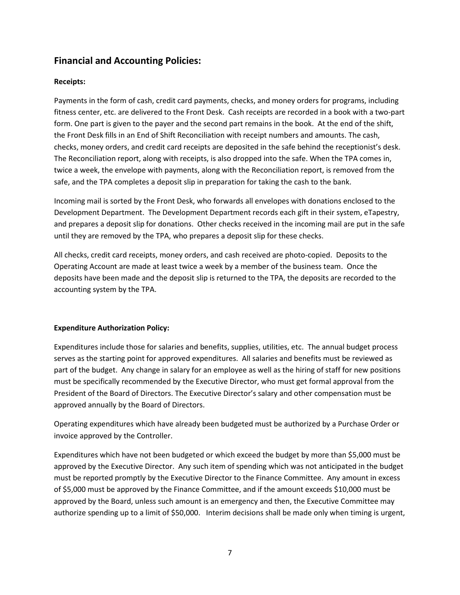## **Financial and Accounting Policies:**

### **Receipts:**

Payments in the form of cash, credit card payments, checks, and money orders for programs, including fitness center, etc. are delivered to the Front Desk. Cash receipts are recorded in a book with a two-part form. One part is given to the payer and the second part remains in the book. At the end of the shift, the Front Desk fills in an End of Shift Reconciliation with receipt numbers and amounts. The cash, checks, money orders, and credit card receipts are deposited in the safe behind the receptionist's desk. The Reconciliation report, along with receipts, is also dropped into the safe. When the TPA comes in, twice a week, the envelope with payments, along with the Reconciliation report, is removed from the safe, and the TPA completes a deposit slip in preparation for taking the cash to the bank.

Incoming mail is sorted by the Front Desk, who forwards all envelopes with donations enclosed to the Development Department. The Development Department records each gift in their system, eTapestry, and prepares a deposit slip for donations. Other checks received in the incoming mail are put in the safe until they are removed by the TPA, who prepares a deposit slip for these checks.

All checks, credit card receipts, money orders, and cash received are photo-copied. Deposits to the Operating Account are made at least twice a week by a member of the business team. Once the deposits have been made and the deposit slip is returned to the TPA, the deposits are recorded to the accounting system by the TPA.

#### **Expenditure Authorization Policy:**

Expenditures include those for salaries and benefits, supplies, utilities, etc. The annual budget process serves as the starting point for approved expenditures. All salaries and benefits must be reviewed as part of the budget. Any change in salary for an employee as well as the hiring of staff for new positions must be specifically recommended by the Executive Director, who must get formal approval from the President of the Board of Directors. The Executive Director's salary and other compensation must be approved annually by the Board of Directors.

Operating expenditures which have already been budgeted must be authorized by a Purchase Order or invoice approved by the Controller.

Expenditures which have not been budgeted or which exceed the budget by more than \$5,000 must be approved by the Executive Director. Any such item of spending which was not anticipated in the budget must be reported promptly by the Executive Director to the Finance Committee. Any amount in excess of \$5,000 must be approved by the Finance Committee, and if the amount exceeds \$10,000 must be approved by the Board, unless such amount is an emergency and then, the Executive Committee may authorize spending up to a limit of \$50,000. Interim decisions shall be made only when timing is urgent,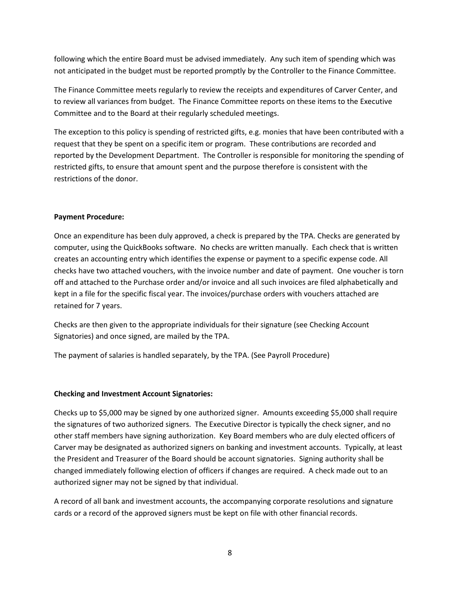following which the entire Board must be advised immediately. Any such item of spending which was not anticipated in the budget must be reported promptly by the Controller to the Finance Committee.

The Finance Committee meets regularly to review the receipts and expenditures of Carver Center, and to review all variances from budget. The Finance Committee reports on these items to the Executive Committee and to the Board at their regularly scheduled meetings.

The exception to this policy is spending of restricted gifts, e.g. monies that have been contributed with a request that they be spent on a specific item or program. These contributions are recorded and reported by the Development Department. The Controller is responsible for monitoring the spending of restricted gifts, to ensure that amount spent and the purpose therefore is consistent with the restrictions of the donor.

#### **Payment Procedure:**

Once an expenditure has been duly approved, a check is prepared by the TPA. Checks are generated by computer, using the QuickBooks software. No checks are written manually. Each check that is written creates an accounting entry which identifies the expense or payment to a specific expense code. All checks have two attached vouchers, with the invoice number and date of payment. One voucher is torn off and attached to the Purchase order and/or invoice and all such invoices are filed alphabetically and kept in a file for the specific fiscal year. The invoices/purchase orders with vouchers attached are retained for 7 years.

Checks are then given to the appropriate individuals for their signature (see Checking Account Signatories) and once signed, are mailed by the TPA.

The payment of salaries is handled separately, by the TPA. (See Payroll Procedure)

#### **Checking and Investment Account Signatories:**

Checks up to \$5,000 may be signed by one authorized signer. Amounts exceeding \$5,000 shall require the signatures of two authorized signers. The Executive Director is typically the check signer, and no other staff members have signing authorization. Key Board members who are duly elected officers of Carver may be designated as authorized signers on banking and investment accounts. Typically, at least the President and Treasurer of the Board should be account signatories. Signing authority shall be changed immediately following election of officers if changes are required. A check made out to an authorized signer may not be signed by that individual.

A record of all bank and investment accounts, the accompanying corporate resolutions and signature cards or a record of the approved signers must be kept on file with other financial records.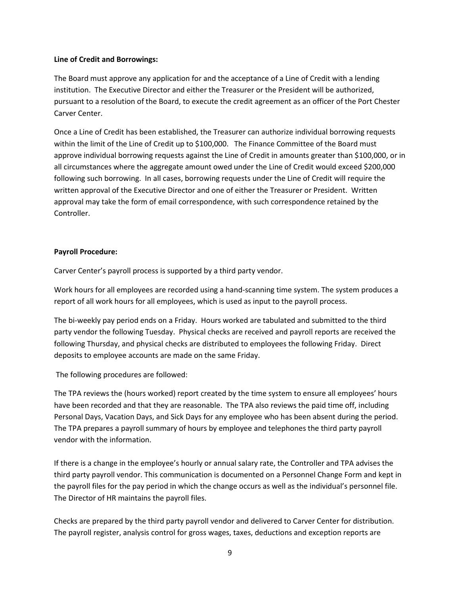#### **Line of Credit and Borrowings:**

The Board must approve any application for and the acceptance of a Line of Credit with a lending institution. The Executive Director and either the Treasurer or the President will be authorized, pursuant to a resolution of the Board, to execute the credit agreement as an officer of the Port Chester Carver Center.

Once a Line of Credit has been established, the Treasurer can authorize individual borrowing requests within the limit of the Line of Credit up to \$100,000. The Finance Committee of the Board must approve individual borrowing requests against the Line of Credit in amounts greater than \$100,000, or in all circumstances where the aggregate amount owed under the Line of Credit would exceed \$200,000 following such borrowing. In all cases, borrowing requests under the Line of Credit will require the written approval of the Executive Director and one of either the Treasurer or President. Written approval may take the form of email correspondence, with such correspondence retained by the Controller.

#### **Payroll Procedure:**

Carver Center's payroll process is supported by a third party vendor.

Work hours for all employees are recorded using a hand-scanning time system. The system produces a report of all work hours for all employees, which is used as input to the payroll process.

The bi-weekly pay period ends on a Friday. Hours worked are tabulated and submitted to the third party vendor the following Tuesday. Physical checks are received and payroll reports are received the following Thursday, and physical checks are distributed to employees the following Friday. Direct deposits to employee accounts are made on the same Friday.

The following procedures are followed:

The TPA reviews the (hours worked) report created by the time system to ensure all employees' hours have been recorded and that they are reasonable. The TPA also reviews the paid time off, including Personal Days, Vacation Days, and Sick Days for any employee who has been absent during the period. The TPA prepares a payroll summary of hours by employee and telephones the third party payroll vendor with the information.

If there is a change in the employee's hourly or annual salary rate, the Controller and TPA advises the third party payroll vendor. This communication is documented on a Personnel Change Form and kept in the payroll files for the pay period in which the change occurs as well as the individual's personnel file. The Director of HR maintains the payroll files.

Checks are prepared by the third party payroll vendor and delivered to Carver Center for distribution. The payroll register, analysis control for gross wages, taxes, deductions and exception reports are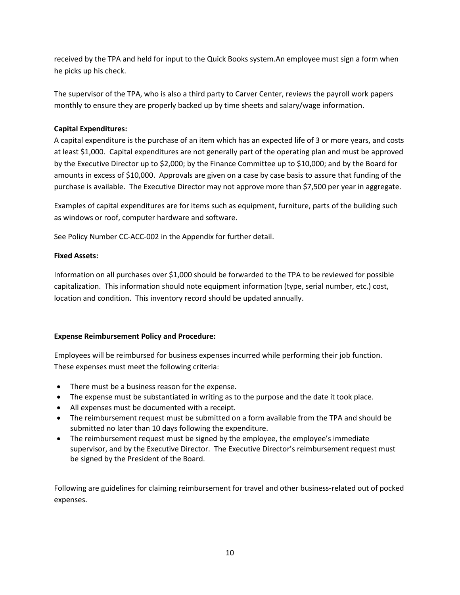received by the TPA and held for input to the Quick Books system.An employee must sign a form when he picks up his check.

The supervisor of the TPA, who is also a third party to Carver Center, reviews the payroll work papers monthly to ensure they are properly backed up by time sheets and salary/wage information.

### **Capital Expenditures:**

A capital expenditure is the purchase of an item which has an expected life of 3 or more years, and costs at least \$1,000. Capital expenditures are not generally part of the operating plan and must be approved by the Executive Director up to \$2,000; by the Finance Committee up to \$10,000; and by the Board for amounts in excess of \$10,000. Approvals are given on a case by case basis to assure that funding of the purchase is available. The Executive Director may not approve more than \$7,500 per year in aggregate.

Examples of capital expenditures are for items such as equipment, furniture, parts of the building such as windows or roof, computer hardware and software.

See Policy Number CC-ACC-002 in the Appendix for further detail.

### **Fixed Assets:**

Information on all purchases over \$1,000 should be forwarded to the TPA to be reviewed for possible capitalization. This information should note equipment information (type, serial number, etc.) cost, location and condition. This inventory record should be updated annually.

#### **Expense Reimbursement Policy and Procedure:**

Employees will be reimbursed for business expenses incurred while performing their job function. These expenses must meet the following criteria:

- There must be a business reason for the expense.
- The expense must be substantiated in writing as to the purpose and the date it took place.
- All expenses must be documented with a receipt.
- The reimbursement request must be submitted on a form available from the TPA and should be submitted no later than 10 days following the expenditure.
- The reimbursement request must be signed by the employee, the employee's immediate supervisor, and by the Executive Director. The Executive Director's reimbursement request must be signed by the President of the Board.

Following are guidelines for claiming reimbursement for travel and other business-related out of pocked expenses.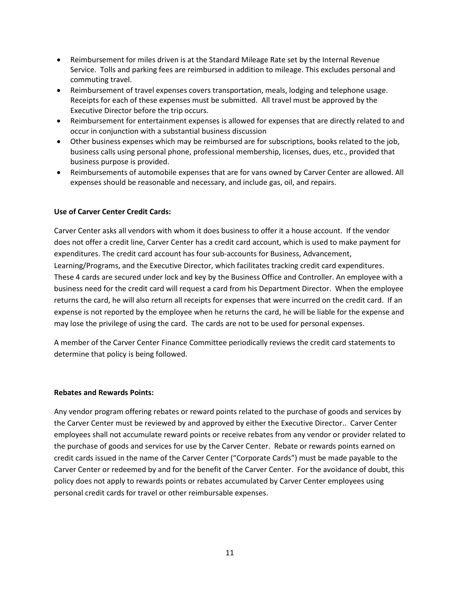- Reimbursement for miles driven is at the Standard Mileage Rate set by the Internal Revenue Service. Tolls and parking fees are reimbursed in addition to mileage. This excludes personal and commuting travel.
- Reimbursement of travel expenses covers transportation, meals, lodging and telephone usage. Receipts for each of these expenses must be submitted. All travel must be approved by the Executive Director before the trip occurs.
- Reimbursement for entertainment expenses is allowed for expenses that are directly related to and occur in conjunction with a substantial business discussion
- Other business expenses which may be reimbursed are for subscriptions, books related to the job, business calls using personal phone, professional membership, licenses, dues, etc., provided that business purpose is provided.
- Reimbursements of automobile expenses that are for vans owned by Carver Center are allowed. All expenses should be reasonable and necessary, and include gas, oil, and repairs.

#### **Use of Carver Center Credit Cards:**

Carver Center asks all vendors with whom it does business to offer it a house account. If the vendor does not offer a credit line, Carver Center has a credit card account, which is used to make payment for expenditures. The credit card account has four sub-accounts for Business, Advancement, Learning/Programs, and the Executive Director, which facilitates tracking credit card expenditures. These 4 cards are secured under lock and key by the Business Office and Controller. An employee with a business need for the credit card will request a card from his Department Director. When the employee returns the card, he will also return all receipts for expenses that were incurred on the credit card. If an expense is not reported by the employee when he returns the card, he will be liable for the expense and may lose the privilege of using the card. The cards are not to be used for personal expenses.

A member of the Carver Center Finance Committee periodically reviews the credit card statements to determine that policy is being followed.

#### **Rebates and Rewards Points:**

Any vendor program offering rebates or reward points related to the purchase of goods and services by the Carver Center must be reviewed by and approved by either the Executive Director.. Carver Center employees shall not accumulate reward points or receive rebates from any vendor or provider related to the purchase of goods and services for use by the Carver Center. Rebate or rewards points earned on credit cards issued in the name of the Carver Center ("Corporate Cards") must be made payable to the Carver Center or redeemed by and for the benefit of the Carver Center. For the avoidance of doubt, this policy does not apply to rewards points or rebates accumulated by Carver Center employees using personal credit cards for travel or other reimbursable expenses.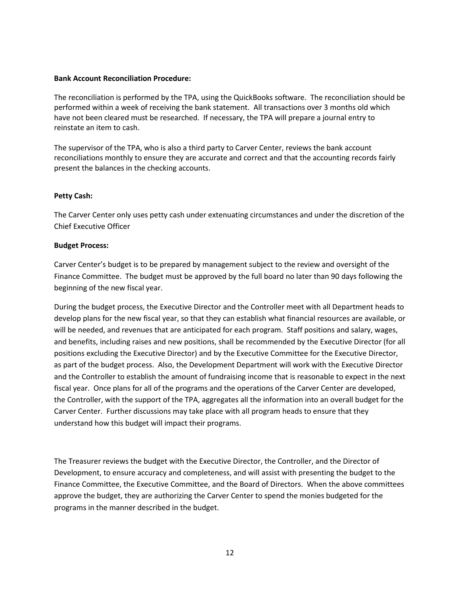#### **Bank Account Reconciliation Procedure:**

The reconciliation is performed by the TPA, using the QuickBooks software. The reconciliation should be performed within a week of receiving the bank statement. All transactions over 3 months old which have not been cleared must be researched. If necessary, the TPA will prepare a journal entry to reinstate an item to cash.

The supervisor of the TPA, who is also a third party to Carver Center, reviews the bank account reconciliations monthly to ensure they are accurate and correct and that the accounting records fairly present the balances in the checking accounts.

#### **Petty Cash:**

The Carver Center only uses petty cash under extenuating circumstances and under the discretion of the Chief Executive Officer

#### **Budget Process:**

Carver Center's budget is to be prepared by management subject to the review and oversight of the Finance Committee. The budget must be approved by the full board no later than 90 days following the beginning of the new fiscal year.

During the budget process, the Executive Director and the Controller meet with all Department heads to develop plans for the new fiscal year, so that they can establish what financial resources are available, or will be needed, and revenues that are anticipated for each program. Staff positions and salary, wages, and benefits, including raises and new positions, shall be recommended by the Executive Director (for all positions excluding the Executive Director) and by the Executive Committee for the Executive Director, as part of the budget process. Also, the Development Department will work with the Executive Director and the Controller to establish the amount of fundraising income that is reasonable to expect in the next fiscal year. Once plans for all of the programs and the operations of the Carver Center are developed, the Controller, with the support of the TPA, aggregates all the information into an overall budget for the Carver Center. Further discussions may take place with all program heads to ensure that they understand how this budget will impact their programs.

The Treasurer reviews the budget with the Executive Director, the Controller, and the Director of Development, to ensure accuracy and completeness, and will assist with presenting the budget to the Finance Committee, the Executive Committee, and the Board of Directors. When the above committees approve the budget, they are authorizing the Carver Center to spend the monies budgeted for the programs in the manner described in the budget.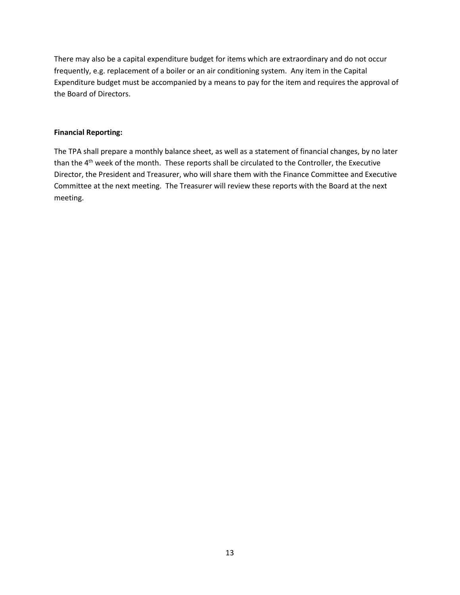There may also be a capital expenditure budget for items which are extraordinary and do not occur frequently, e.g. replacement of a boiler or an air conditioning system. Any item in the Capital Expenditure budget must be accompanied by a means to pay for the item and requires the approval of the Board of Directors.

#### **Financial Reporting:**

The TPA shall prepare a monthly balance sheet, as well as a statement of financial changes, by no later than the 4<sup>th</sup> week of the month. These reports shall be circulated to the Controller, the Executive Director, the President and Treasurer, who will share them with the Finance Committee and Executive Committee at the next meeting. The Treasurer will review these reports with the Board at the next meeting.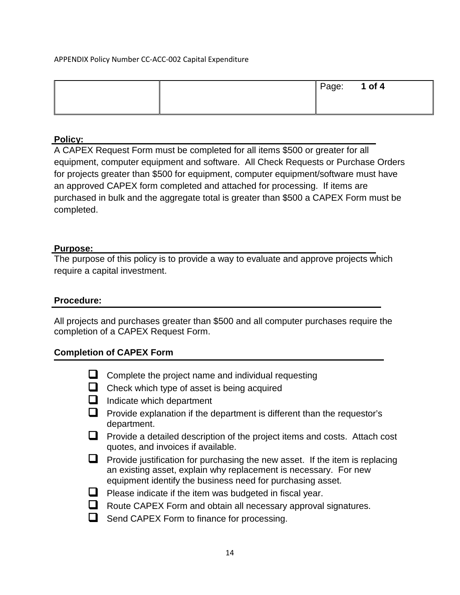## APPENDIX Policy Number CC-ACC-002 Capital Expenditure

|  | Page: | 1 of $4$ |
|--|-------|----------|
|  |       |          |

## **Policy:**

A CAPEX Request Form must be completed for all items \$500 or greater for all equipment, computer equipment and software. All Check Requests or Purchase Orders for projects greater than \$500 for equipment, computer equipment/software must have an approved CAPEX form completed and attached for processing. If items are purchased in bulk and the aggregate total is greater than \$500 a CAPEX Form must be completed.

## **Purpose:**

The purpose of this policy is to provide a way to evaluate and approve projects which require a capital investment.

## **Procedure:**

All projects and purchases greater than \$500 and all computer purchases require the completion of a CAPEX Request Form.

## **Completion of CAPEX Form**

- $\Box$  Complete the project name and individual requesting
- $\Box$  Check which type of asset is being acquired
- $\Box$  Indicate which department
- $\Box$  Provide explanation if the department is different than the requestor's department.
- $\Box$  Provide a detailed description of the project items and costs. Attach cost quotes, and invoices if available.
- $\Box$  Provide justification for purchasing the new asset. If the item is replacing an existing asset, explain why replacement is necessary. For new equipment identify the business need for purchasing asset.
- $\Box$  Please indicate if the item was budgeted in fiscal year.
- Route CAPEX Form and obtain all necessary approval signatures.
- $\Box$  Send CAPEX Form to finance for processing.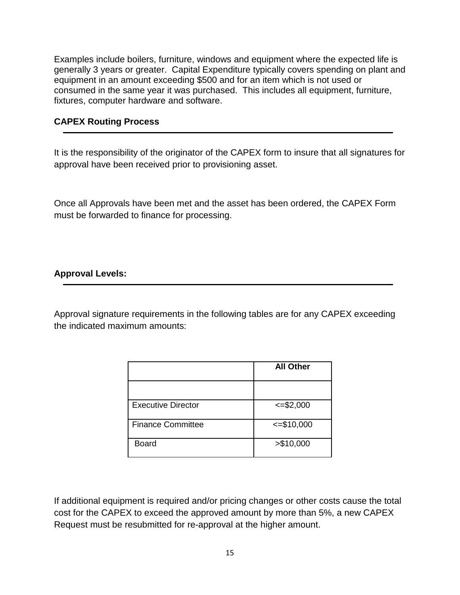Examples include boilers, furniture, windows and equipment where the expected life is generally 3 years or greater. Capital Expenditure typically covers spending on plant and equipment in an amount exceeding \$500 and for an item which is not used or consumed in the same year it was purchased. This includes all equipment, furniture, fixtures, computer hardware and software.

## **CAPEX Routing Process**

It is the responsibility of the originator of the CAPEX form to insure that all signatures for approval have been received prior to provisioning asset.

Once all Approvals have been met and the asset has been ordered, the CAPEX Form must be forwarded to finance for processing.

## **Approval Levels:**

Approval signature requirements in the following tables are for any CAPEX exceeding the indicated maximum amounts:

|                          | <b>All Other</b> |
|--------------------------|------------------|
|                          |                  |
| Executive Director       | $\leq$ =\$2,000  |
| <b>Finance Committee</b> | $\leq$ =\$10,000 |
| <b>Board</b>             | > \$10,000       |

If additional equipment is required and/or pricing changes or other costs cause the total cost for the CAPEX to exceed the approved amount by more than 5%, a new CAPEX Request must be resubmitted for re-approval at the higher amount.